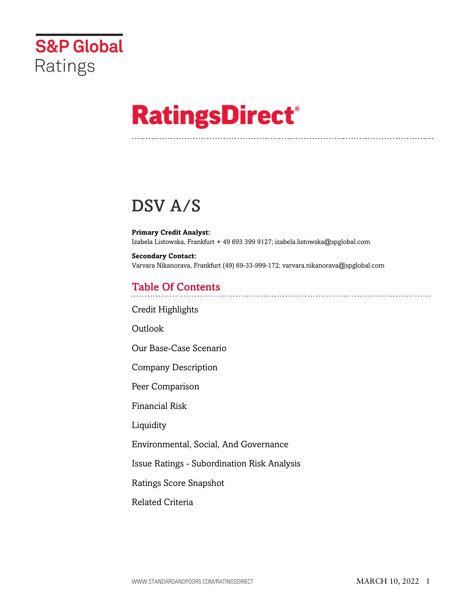

# **RatingsDirect®**

## DSV A/S

**Primary Credit Analyst:** Izabela Listowska, Frankfurt + 49 693 399 9127; izabela.listowska@spglobal.com

**Secondary Contact:** Varvara Nikanorava, Frankfurt (49) 69-33-999-172; varvara.nikanorava@spglobal.com

## Table Of Contents

[Credit Highlights](#page-1-0)

[Outlook](#page--1-0)

[Our Base-Case Scenario](#page-4-0)

[Company Description](#page-4-1)

[Peer Comparison](#page-4-2)

[Financial Risk](#page-5-0)

[Liquidity](#page-7-0)

[Environmental, Social, And Governance](#page-8-0)

[Issue Ratings - Subordination Risk Analysis](#page-8-1)

[Ratings Score Snapshot](#page-8-2)

[Related Criteria](#page-9-0)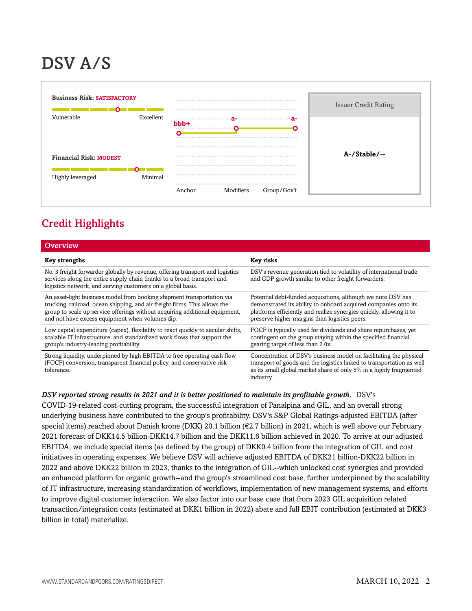## DSV A/S



## <span id="page-1-0"></span>Credit Highlights

| <b>Overview</b>                                                                                                                                                                                                                                                                        |                                                                                                                                                                                                                                                         |
|----------------------------------------------------------------------------------------------------------------------------------------------------------------------------------------------------------------------------------------------------------------------------------------|---------------------------------------------------------------------------------------------------------------------------------------------------------------------------------------------------------------------------------------------------------|
| <b>Key strengths</b>                                                                                                                                                                                                                                                                   | Key risks                                                                                                                                                                                                                                               |
| No. 3 freight forwarder globally by revenue, offering transport and logistics<br>services along the entire supply chain thanks to a broad transport and<br>logistics network, and serving customers on a global basis.                                                                 | DSV's revenue generation tied to volatility of international trade<br>and GDP growth similar to other freight forwarders.                                                                                                                               |
| An asset-light business model from booking shipment transportation via<br>trucking, railroad, ocean shipping, and air freight firms. This allows the<br>group to scale up service offerings without acquiring additional equipment,<br>and not have excess equipment when volumes dip. | Potential debt-funded acquisitions, although we note DSV has<br>demonstrated its ability to onboard acquired companies onto its<br>platforms efficiently and realize synergies quickly, allowing it to<br>preserve higher margins than logistics peers. |
| Low capital expenditure (capex), flexibility to react quickly to secular shifts,<br>scalable IT infrastructure, and standardized work flows that support the<br>group's industry-leading profitability.                                                                                | FOCF is typically used for dividends and share repurchases, yet<br>contingent on the group staying within the specified financial<br>gearing target of less than 2.0x.                                                                                  |
| Strong liquidity, underpinned by high EBITDA to free operating cash flow<br>(FOCF) conversion, transparent financial policy, and conservative risk<br>tolerance.                                                                                                                       | Concentration of DSV's business model on facilitating the physical<br>transport of goods and the logistics linked to transportation as well<br>as its small global market share of only 5% in a highly fragmented<br>industry.                          |

#### *DSV reported strong results in 2021 and it is better positioned to maintain its profitable growth.* DSV's

COVID-19-related cost-cutting program, the successful integration of Panalpina and GIL, and an overall strong underlying business have contributed to the group's profitability. DSV's S&P Global Ratings-adjusted EBITDA (after special items) reached about Danish krone (DKK) 20.1 billion (€2.7 billion) in 2021, which is well above our February 2021 forecast of DKK14.5 billion-DKK14.7 billion and the DKK11.6 billion achieved in 2020. To arrive at our adjusted EBITDA, we include special items (as defined by the group) of DKK0.4 billion from the integration of GIL and cost initiatives in operating expenses. We believe DSV will achieve adjusted EBITDA of DKK21 billion-DKK22 billion in 2022 and above DKK22 billion in 2023, thanks to the integration of GIL--which unlocked cost synergies and provided an enhanced platform for organic growth--and the group's streamlined cost base, further underpinned by the scalability of IT infrastructure, increasing standardization of workflows, implementation of new management systems, and efforts to improve digital customer interaction. We also factor into our base case that from 2023 GIL acquisition related transaction/integration costs (estimated at DKK1 billion in 2022) abate and full EBIT contribution (estimated at DKK3 billion in total) materialize.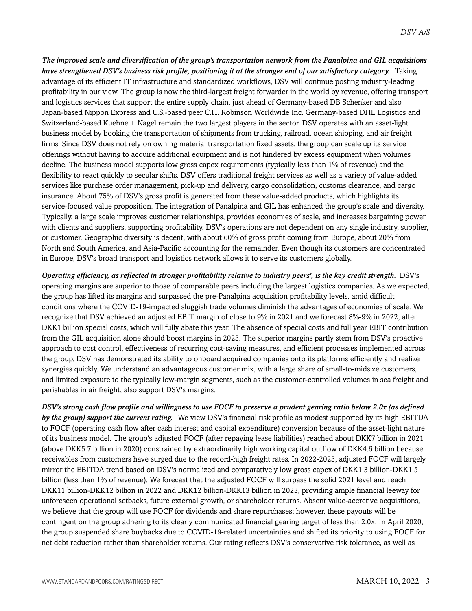*The improved scale and diversification of the group's transportation network from the Panalpina and GIL acquisitions have strengthened DSV's business risk profile, positioning it at the stronger end of our satisfactory category.* Taking advantage of its efficient IT infrastructure and standardized workflows, DSV will continue posting industry-leading profitability in our view. The group is now the third-largest freight forwarder in the world by revenue, offering transport and logistics services that support the entire supply chain, just ahead of Germany-based DB Schenker and also Japan-based Nippon Express and U.S.-based peer C.H. Robinson Worldwide Inc. Germany-based DHL Logistics and Switzerland-based Kuehne + Nagel remain the two largest players in the sector. DSV operates with an asset-light business model by booking the transportation of shipments from trucking, railroad, ocean shipping, and air freight firms. Since DSV does not rely on owning material transportation fixed assets, the group can scale up its service offerings without having to acquire additional equipment and is not hindered by excess equipment when volumes decline. The business model supports low gross capex requirements (typically less than 1% of revenue) and the flexibility to react quickly to secular shifts. DSV offers traditional freight services as well as a variety of value-added services like purchase order management, pick-up and delivery, cargo consolidation, customs clearance, and cargo insurance. About 75% of DSV's gross profit is generated from these value-added products, which highlights its service-focused value proposition. The integration of Panalpina and GIL has enhanced the group's scale and diversity. Typically, a large scale improves customer relationships, provides economies of scale, and increases bargaining power with clients and suppliers, supporting profitability. DSV's operations are not dependent on any single industry, supplier, or customer. Geographic diversity is decent, with about 60% of gross profit coming from Europe, about 20% from North and South America, and Asia-Pacific accounting for the remainder. Even though its customers are concentrated in Europe, DSV's broad transport and logistics network allows it to serve its customers globally.

*Operating efficiency, as reflected in stronger profitability relative to industry peers', is the key credit strength.* DSV's operating margins are superior to those of comparable peers including the largest logistics companies. As we expected, the group has lifted its margins and surpassed the pre-Panalpina acquisition profitability levels, amid difficult conditions where the COVID-19-impacted sluggish trade volumes diminish the advantages of economies of scale. We recognize that DSV achieved an adjusted EBIT margin of close to 9% in 2021 and we forecast 8%-9% in 2022, after DKK1 billion special costs, which will fully abate this year. The absence of special costs and full year EBIT contribution from the GIL acquisition alone should boost margins in 2023. The superior margins partly stem from DSV's proactive approach to cost control, effectiveness of recurring cost-saving measures, and efficient processes implemented across the group. DSV has demonstrated its ability to onboard acquired companies onto its platforms efficiently and realize synergies quickly. We understand an advantageous customer mix, with a large share of small-to-midsize customers, and limited exposure to the typically low-margin segments, such as the customer-controlled volumes in sea freight and perishables in air freight, also support DSV's margins.

*DSV's strong cash flow profile and willingness to use FOCF to preserve a prudent gearing ratio below 2.0x (as defined by the group) support the current rating.* We view DSV's financial risk profile as modest supported by its high EBITDA to FOCF (operating cash flow after cash interest and capital expenditure) conversion because of the asset-light nature of its business model. The group's adjusted FOCF (after repaying lease liabilities) reached about DKK7 billion in 2021 (above DKK5.7 billion in 2020) constrained by extraordinarily high working capital outflow of DKK4.6 billion because receivables from customers have surged due to the record-high freight rates. In 2022-2023, adjusted FOCF will largely mirror the EBITDA trend based on DSV's normalized and comparatively low gross capex of DKK1.3 billion-DKK1.5 billion (less than 1% of revenue). We forecast that the adjusted FOCF will surpass the solid 2021 level and reach DKK11 billion-DKK12 billion in 2022 and DKK12 billion-DKK13 billion in 2023, providing ample financial leeway for unforeseen operational setbacks, future external growth, or shareholder returns. Absent value-accretive acquisitions, we believe that the group will use FOCF for dividends and share repurchases; however, these payouts will be contingent on the group adhering to its clearly communicated financial gearing target of less than 2.0x. In April 2020, the group suspended share buybacks due to COVID-19-related uncertainties and shifted its priority to using FOCF for net debt reduction rather than shareholder returns. Our rating reflects DSV's conservative risk tolerance, as well as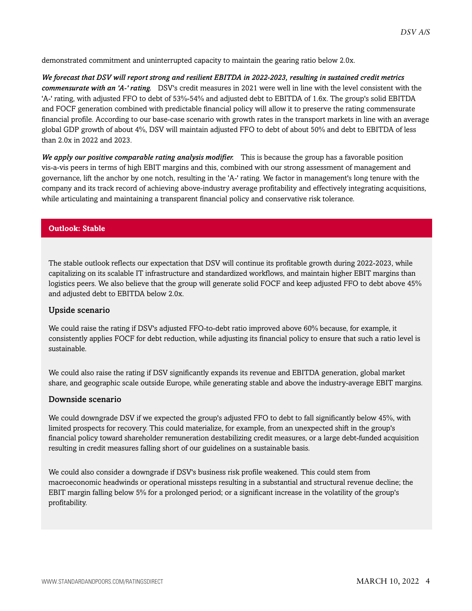demonstrated commitment and uninterrupted capacity to maintain the gearing ratio below 2.0x.

*We forecast that DSV will report strong and resilient EBITDA in 2022-2023, resulting in sustained credit metrics commensurate with an 'A-' rating.* DSV's credit measures in 2021 were well in line with the level consistent with the 'A-' rating, with adjusted FFO to debt of 53%-54% and adjusted debt to EBITDA of 1.6x. The group's solid EBITDA and FOCF generation combined with predictable financial policy will allow it to preserve the rating commensurate financial profile. According to our base-case scenario with growth rates in the transport markets in line with an average global GDP growth of about 4%, DSV will maintain adjusted FFO to debt of about 50% and debt to EBITDA of less than 2.0x in 2022 and 2023.

*We apply our positive comparable rating analysis modifier.* This is because the group has a favorable position vis-a-vis peers in terms of high EBIT margins and this, combined with our strong assessment of management and governance, lift the anchor by one notch, resulting in the 'A-' rating. We factor in management's long tenure with the company and its track record of achieving above-industry average profitability and effectively integrating acquisitions, while articulating and maintaining a transparent financial policy and conservative risk tolerance.

#### **Outlook: Stable**

The stable outlook reflects our expectation that DSV will continue its profitable growth during 2022-2023, while capitalizing on its scalable IT infrastructure and standardized workflows, and maintain higher EBIT margins than logistics peers. We also believe that the group will generate solid FOCF and keep adjusted FFO to debt above 45% and adjusted debt to EBITDA below 2.0x.

#### Upside scenario

We could raise the rating if DSV's adjusted FFO-to-debt ratio improved above 60% because, for example, it consistently applies FOCF for debt reduction, while adjusting its financial policy to ensure that such a ratio level is sustainable.

We could also raise the rating if DSV significantly expands its revenue and EBITDA generation, global market share, and geographic scale outside Europe, while generating stable and above the industry-average EBIT margins.

#### Downside scenario

We could downgrade DSV if we expected the group's adjusted FFO to debt to fall significantly below 45%, with limited prospects for recovery. This could materialize, for example, from an unexpected shift in the group's financial policy toward shareholder remuneration destabilizing credit measures, or a large debt-funded acquisition resulting in credit measures falling short of our guidelines on a sustainable basis.

We could also consider a downgrade if DSV's business risk profile weakened. This could stem from macroeconomic headwinds or operational missteps resulting in a substantial and structural revenue decline; the EBIT margin falling below 5% for a prolonged period; or a significant increase in the volatility of the group's profitability.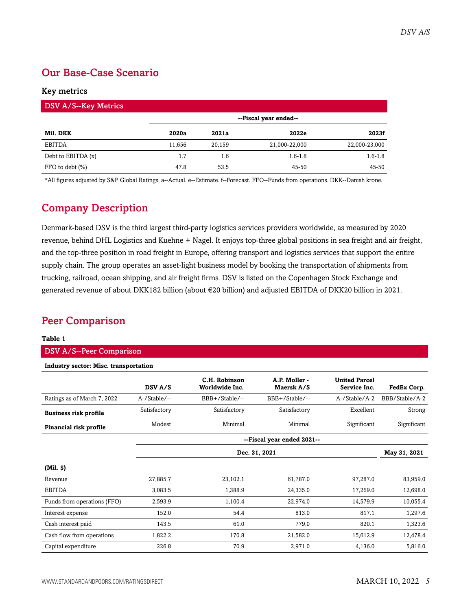## <span id="page-4-0"></span>Our Base-Case Scenario

#### Key metrics

| <b>DSV A/S--Key Metrics</b> |                       |        |               |               |  |  |
|-----------------------------|-----------------------|--------|---------------|---------------|--|--|
|                             | --Fiscal year ended-- |        |               |               |  |  |
| Mil. DKK                    | 2020a                 | 2021a  | 2022e         | 2023f         |  |  |
| <b>EBITDA</b>               | 11.656                | 20.159 | 21,000-22,000 | 22,000-23,000 |  |  |
| Debt to EBITDA $(x)$        | 1.7                   | 1.6    | $1.6 - 1.8$   | $1.6 - 1.8$   |  |  |
| FFO to debt $(\% )$         | 47.8                  | 53.5   | 45-50         | 45-50         |  |  |

<span id="page-4-1"></span>\*All figures adjusted by S&P Global Ratings. a--Actual. e--Estimate. f--Forecast. FFO--Funds from operations. DKK--Danish krone.

## Company Description

Denmark-based DSV is the third largest third-party logistics services providers worldwide, as measured by 2020 revenue, behind DHL Logistics and Kuehne + Nagel. It enjoys top-three global positions in sea freight and air freight, and the top-three position in road freight in Europe, offering transport and logistics services that support the entire supply chain. The group operates an asset-light business model by booking the transportation of shipments from trucking, railroad, ocean shipping, and air freight firms. DSV is listed on the Copenhagen Stock Exchange and generated revenue of about DKK182 billion (about €20 billion) and adjusted EBITDA of DKK20 billion in 2021.

## <span id="page-4-2"></span>Peer Comparison

#### **Table 1**

#### DSV A/S--Peer Comparison

**Industry sector: Misc. transportation**

|                              | DSV A/S      | C.H. Robinson<br>Worldwide Inc. | A.P. Moller -<br>Maersk A/S | <b>United Parcel</b><br>Service Inc. | FedEx Corp.    |
|------------------------------|--------------|---------------------------------|-----------------------------|--------------------------------------|----------------|
| Ratings as of March 7, 2022  | A-/Stable/-- | BBB+/Stable/--                  | BBB+/Stable/--              | A-/Stable/A-2                        | BBB/Stable/A-2 |
| <b>Business risk profile</b> | Satisfactory | Satisfactory                    | Satisfactory                | Excellent                            | Strong         |
| Financial risk profile       | Modest       | Minimal                         | Minimal                     | Significant                          | Significant    |
|                              |              |                                 | --Fiscal year ended 2021--  |                                      |                |
|                              |              |                                 | Dec. 31, 2021               |                                      | May 31, 2021   |
| $(Mil.$ $\vartheta)$         |              |                                 |                             |                                      |                |
| Revenue                      | 27,885.7     | 23,102.1                        | 61,787.0                    | 97,287.0                             | 83,959.0       |
| <b>EBITDA</b>                | 3,083.5      | 1,388.9                         | 24,335.0                    | 17,269.0                             | 12,698.0       |
| Funds from operations (FFO)  | 2,593.9      | 1,100.4                         | 22,974.0                    | 14,579.9                             | 10,055.4       |
| Interest expense             | 152.0        | 54.4                            | 813.0                       | 817.1                                | 1,297.6        |
| Cash interest paid           | 143.5        | 61.0                            | 779.0                       | 820.1                                | 1,323.6        |
| Cash flow from operations    | 1,822.2      | 170.8                           | 21,582.0                    | 15,612.9                             | 12,478.4       |
| Capital expenditure          | 226.8        | 70.9                            | 2,971.0                     | 4,136.0                              | 5,816.0        |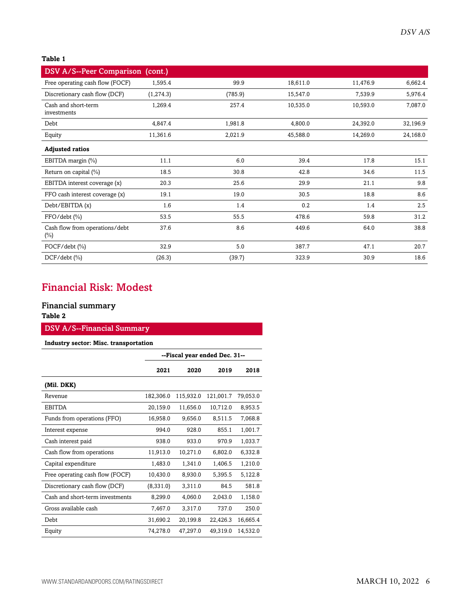#### **Table 1**

| DSV A/S--Peer Comparison (cont.)         |            |         |          |          |          |
|------------------------------------------|------------|---------|----------|----------|----------|
| Free operating cash flow (FOCF)          | 1,595.4    | 99.9    | 18,611.0 | 11,476.9 | 6,662.4  |
| Discretionary cash flow (DCF)            | (1, 274.3) | (785.9) | 15,547.0 | 7,539.9  | 5,976.4  |
| Cash and short-term<br>investments       | 1,269.4    | 257.4   | 10,535.0 | 10,593.0 | 7,087.0  |
| Debt                                     | 4,847.4    | 1,981.8 | 4,800.0  | 24,392.0 | 32,196.9 |
| Equity                                   | 11,361.6   | 2,021.9 | 45,588.0 | 14,269.0 | 24,168.0 |
| <b>Adjusted ratios</b>                   |            |         |          |          |          |
| EBITDA margin (%)                        | 11.1       | 6.0     | 39.4     | 17.8     | 15.1     |
| Return on capital (%)                    | 18.5       | 30.8    | 42.8     | 34.6     | 11.5     |
| EBITDA interest coverage (x)             | 20.3       | 25.6    | 29.9     | 21.1     | 9.8      |
| FFO cash interest coverage (x)           | 19.1       | 19.0    | 30.5     | 18.8     | 8.6      |
| Debt/EBITDA(x)                           | 1.6        | 1.4     | 0.2      | 1.4      | 2.5      |
| FFO/debt (%)                             | 53.5       | 55.5    | 478.6    | 59.8     | 31.2     |
| Cash flow from operations/debt<br>$(\%)$ | 37.6       | 8.6     | 449.6    | 64.0     | 38.8     |
| FOCF/debt (%)                            | 32.9       | 5.0     | 387.7    | 47.1     | 20.7     |
| $DCF/debt$ (%)                           | (26.3)     | (39.7)  | 323.9    | 30.9     | 18.6     |

## <span id="page-5-0"></span>Financial Risk: Modest

#### Financial summary

#### **Table 2**

#### DSV A/S--Financial Summary

#### **Industry sector: Misc. transportation**

|                                 | --Fiscal year ended Dec. 31-- |           |           |          |  |  |
|---------------------------------|-------------------------------|-----------|-----------|----------|--|--|
|                                 | 2021                          | 2020      | 2019      | 2018     |  |  |
| (Mil. DKK)                      |                               |           |           |          |  |  |
| Revenue                         | 182,306.0                     | 115,932.0 | 121,001.7 | 79,053.0 |  |  |
| <b>EBITDA</b>                   | 20,159.0                      | 11,656.0  | 10,712.0  | 8,953.5  |  |  |
| Funds from operations (FFO)     | 16,958.0                      | 9,656.0   | 8,511.5   | 7,068.8  |  |  |
| Interest expense                | 994.0                         | 928.0     | 855.1     | 1,001.7  |  |  |
| Cash interest paid              | 938.0                         | 933.0     | 970.9     | 1,033.7  |  |  |
| Cash flow from operations       | 11,913.0                      | 10,271.0  | 6,802.0   | 6,332.8  |  |  |
| Capital expenditure             | 1,483.0                       | 1,341.0   | 1,406.5   | 1,210.0  |  |  |
| Free operating cash flow (FOCF) | 10,430.0                      | 8,930.0   | 5,395.5   | 5,122.8  |  |  |
| Discretionary cash flow (DCF)   | (8,331.0)                     | 3,311.0   | 84.5      | 581.8    |  |  |
| Cash and short-term investments | 8,299.0                       | 4,060.0   | 2,043.0   | 1,158.0  |  |  |
| Gross available cash            | 7,467.0                       | 3,317.0   | 737.0     | 250.0    |  |  |
| Debt                            | 31,690.2                      | 20,199.8  | 22,426.3  | 16,665.4 |  |  |
| Equity                          | 74,278.0                      | 47,297.0  | 49,319.0  | 14,532.0 |  |  |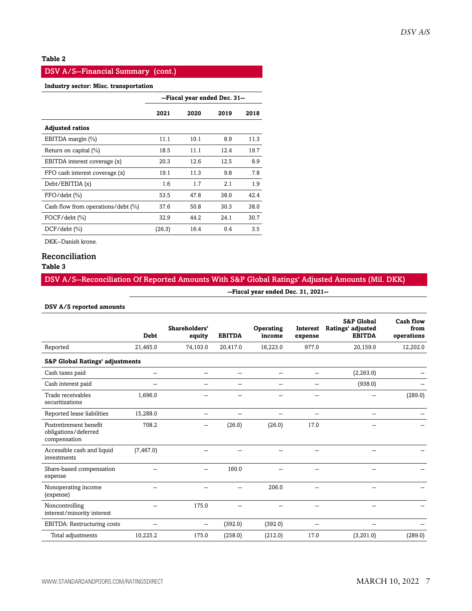#### **Table 2**

#### DSV A/S--Financial Summary (cont.)

#### **Industry sector: Misc. transportation**

|                                    | --Fiscal year ended Dec. 31-- |      |      |      |  |
|------------------------------------|-------------------------------|------|------|------|--|
|                                    | 2021                          | 2020 | 2019 | 2018 |  |
| <b>Adjusted ratios</b>             |                               |      |      |      |  |
| EBITDA margin (%)                  | 11.1                          | 10.1 | 8.9  | 11.3 |  |
| Return on capital (%)              | 18.5                          | 11.1 | 12.4 | 19.7 |  |
| EBITDA interest coverage (x)       | 20.3                          | 12.6 | 12.5 | 8.9  |  |
| FFO cash interest coverage (x)     | 19.1                          | 11.3 | 9.8  | 7.8  |  |
| Debt/EBITDA (x)                    | 1.6                           | 1.7  | 2.1  | 1.9  |  |
| $FFO/debt$ $(\% )$                 | 53.5                          | 47.8 | 38.0 | 42.4 |  |
| Cash flow from operations/debt (%) | 37.6                          | 50.8 | 30.3 | 38.0 |  |
| $FOCF/debt$ $(\% )$                | 32.9                          | 44.2 | 24.1 | 30.7 |  |
| $DCF/debt$ (%)                     | (26.3)                        | 16.4 | 0.4  | 3.5  |  |

DKK--Danish krone.

#### Reconciliation

#### **Table 3**

#### DSV A/S--Reconciliation Of Reported Amounts With S&P Global Ratings' Adjusted Amounts (Mil. DKK)

**--Fiscal year ended Dec. 31, 2021--**

#### **DSV A/S reported amounts**

|                                                                | <b>Debt</b> | Shareholders'<br>equity | <b>EBITDA</b>            | Operating<br>income | <b>Interest</b><br>expense | <b>S&amp;P Global</b><br>Ratings' adjusted<br><b>EBITDA</b> | <b>Cash flow</b><br>from<br>operations |
|----------------------------------------------------------------|-------------|-------------------------|--------------------------|---------------------|----------------------------|-------------------------------------------------------------|----------------------------------------|
| Reported                                                       | 21,465.0    | 74,103.0                | 20,417.0                 | 16,223.0            | 977.0                      | 20,159.0                                                    | 12,202.0                               |
| <b>S&amp;P Global Ratings' adjustments</b>                     |             |                         |                          |                     |                            |                                                             |                                        |
| Cash taxes paid                                                | $-$         | $\overline{a}$          | $\overline{\phantom{a}}$ | $\overline{a}$      | $\overline{\phantom{a}}$   | (2, 263.0)                                                  |                                        |
| Cash interest paid                                             |             | $\sim$                  | $-$                      | $\sim$              | $-$                        | (938.0)                                                     |                                        |
| Trade receivables<br>securitizations                           | 1,696.0     |                         | $-$                      | --                  | --                         | --                                                          | (289.0)                                |
| Reported lease liabilities                                     | 15,288.0    | --                      | --                       |                     | --                         | --                                                          |                                        |
| Postretirement benefit<br>obligations/deferred<br>compensation | 708.2       |                         | (26.0)                   | (26.0)              | 17.0                       | --                                                          |                                        |
| Accessible cash and liquid<br>investments                      | (7, 467.0)  |                         |                          |                     |                            |                                                             |                                        |
| Share-based compensation<br>expense                            |             | $\overline{a}$          | 160.0                    |                     | $\sim$                     |                                                             |                                        |
| Nonoperating income<br>(expense)                               |             |                         |                          | 206.0               |                            |                                                             |                                        |
| Noncontrolling<br>interest/minority interest                   |             | 175.0                   |                          |                     |                            |                                                             |                                        |
| EBITDA: Restructuring costs                                    |             | --                      | (392.0)                  | (392.0)             | --                         | --                                                          |                                        |
| Total adjustments                                              | 10,225.2    | 175.0                   | (258.0)                  | (212.0)             | 17.0                       | (3,201.0)                                                   | (289.0)                                |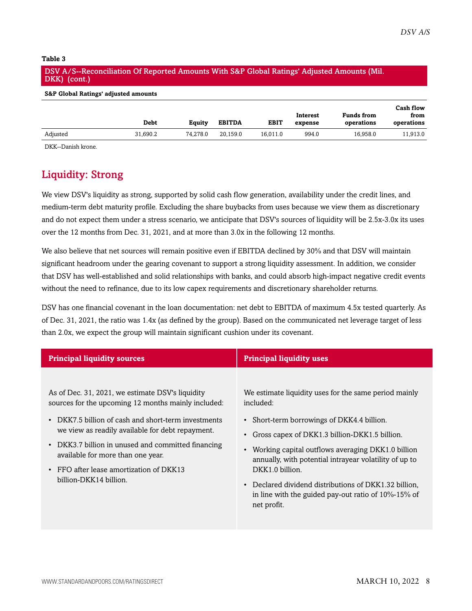#### **Table 3**

#### DSV A/S--Reconciliation Of Reported Amounts With S&P Global Ratings' Adjusted Amounts (Mil. DKK) (cont.)

#### **S&P Global Ratings' adjusted amounts**

|          |          |          |               |             |                     |                                 | Cash flow          |
|----------|----------|----------|---------------|-------------|---------------------|---------------------------------|--------------------|
|          | Debt     | Eauitv   | <b>EBITDA</b> | <b>EBIT</b> | Interest<br>expense | <b>Funds from</b><br>operations | from<br>operations |
| Adjusted | 31,690.2 | 74.278.0 | 20.159.0      | 16.011.0    | 994.0               | 16.958.0                        | 11.913.0           |

<span id="page-7-0"></span>DKK--Danish krone.

## Liquidity: Strong

We view DSV's liquidity as strong, supported by solid cash flow generation, availability under the credit lines, and medium-term debt maturity profile. Excluding the share buybacks from uses because we view them as discretionary and do not expect them under a stress scenario, we anticipate that DSV's sources of liquidity will be 2.5x-3.0x its uses over the 12 months from Dec. 31, 2021, and at more than 3.0x in the following 12 months.

We also believe that net sources will remain positive even if EBITDA declined by 30% and that DSV will maintain significant headroom under the gearing covenant to support a strong liquidity assessment. In addition, we consider that DSV has well-established and solid relationships with banks, and could absorb high-impact negative credit events without the need to refinance, due to its low capex requirements and discretionary shareholder returns.

DSV has one financial covenant in the loan documentation: net debt to EBITDA of maximum 4.5x tested quarterly. As of Dec. 31, 2021, the ratio was 1.4x (as defined by the group). Based on the communicated net leverage target of less than 2.0x, we expect the group will maintain significant cushion under its covenant.

| <b>Principal liquidity sources</b>                  | <b>Principal liquidity uses</b>                        |
|-----------------------------------------------------|--------------------------------------------------------|
| As of Dec. 31, 2021, we estimate DSV's liquidity    | We estimate liquidity uses for the same period mainly  |
| sources for the upcoming 12 months mainly included: | included:                                              |
| DKK7.5 billion of cash and short-term investments   | • Short-term borrowings of DKK4.4 billion.             |
| $\bullet$                                           | Gross capex of DKK1.3 billion-DKK1.5 billion.          |
| we view as readily available for debt repayment.    | • Working capital outflows averaging DKK1.0 billion    |
| • DKK3.7 billion in unused and committed financing  | annually, with potential intrayear volatility of up to |
| available for more than one year.                   | DKK1.0 billion.                                        |
| FFO after lease amortization of DKK13               | • Declared dividend distributions of DKK1.32 billion,  |
| $\bullet$                                           | in line with the guided pay-out ratio of 10%-15% of    |
| billion-DKK14 billion.                              | net profit.                                            |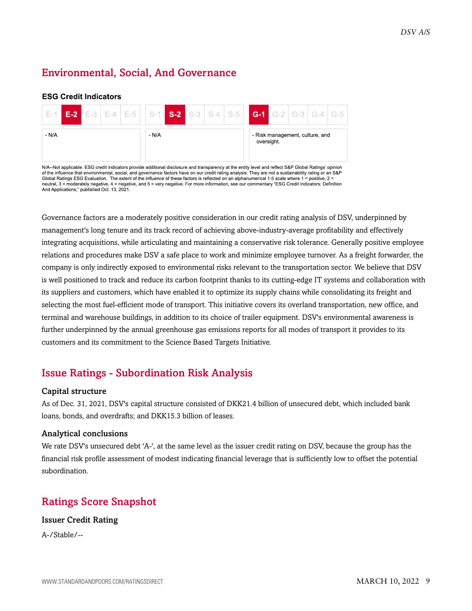## <span id="page-8-0"></span>Environmental, Social, And Governance

#### **ESG Credit Indicators**

| <b>E-1 E-2 E-</b> 3 <b>E-</b> 4 <b>E-5 S-1 S-2 S-3 S-4 S-5 G-1 G-2 G-</b> 3 <b>G-4 G-5</b> |  |       |  |  |            |                                 |  |  |
|--------------------------------------------------------------------------------------------|--|-------|--|--|------------|---------------------------------|--|--|
| - N/A                                                                                      |  | - N/A |  |  | oversight. | - Risk management, culture, and |  |  |

N/A--Not applicable. ESG credit indicators provide additional disclosure and transparency at the entity level and reflect S&P Global Ratings' opinion of the influence that environmental, social, and governance factors have on our credit rating analysis. They are not a sustainability rating or an S&P Global Ratings ESG Evaluation. The extent of the influence of these factors is reflected on an alphanumerical 1-5 scale where 1 = positive, 2 = neutral, 3 = moderately negative, 4 = negative, and 5 = very negative. For more information, see our commentary "ESG Credit Indicators: Definition And Applications," published Oct. 13, 2021.

Governance factors are a moderately positive consideration in our credit rating analysis of DSV, underpinned by management's long tenure and its track record of achieving above-industry-average profitability and effectively integrating acquisitions, while articulating and maintaining a conservative risk tolerance. Generally positive employee relations and procedures make DSV a safe place to work and minimize employee turnover. As a freight forwarder, the company is only indirectly exposed to environmental risks relevant to the transportation sector. We believe that DSV is well positioned to track and reduce its carbon footprint thanks to its cutting-edge IT systems and collaboration with its suppliers and customers, which have enabled it to optimize its supply chains while consolidating its freight and selecting the most fuel-efficient mode of transport. This initiative covers its overland transportation, new office, and terminal and warehouse buildings, in addition to its choice of trailer equipment. DSV's environmental awareness is further underpinned by the annual greenhouse gas emissions reports for all modes of transport it provides to its customers and its commitment to the Science Based Targets Initiative.

## <span id="page-8-1"></span>Issue Ratings - Subordination Risk Analysis

#### Capital structure

As of Dec. 31, 2021, DSV's capital structure consisted of DKK21.4 billion of unsecured debt, which included bank loans, bonds, and overdrafts; and DKK15.3 billion of leases.

#### Analytical conclusions

We rate DSV's unsecured debt 'A-', at the same level as the issuer credit rating on DSV, because the group has the financial risk profile assessment of modest indicating financial leverage that is sufficiently low to offset the potential subordination.

## <span id="page-8-2"></span>Ratings Score Snapshot

#### Issuer Credit Rating

A-/Stable/--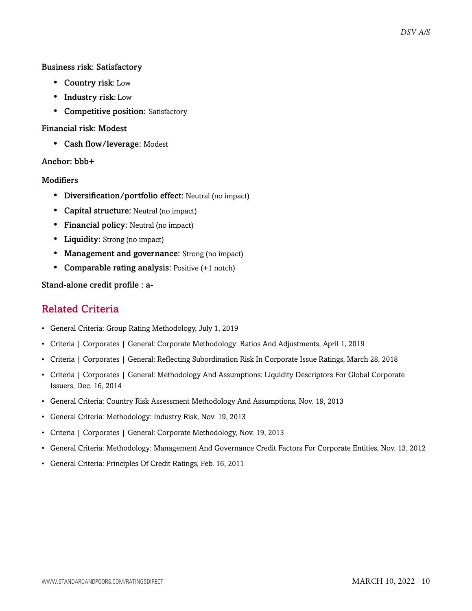#### Business risk: Satisfactory

- Country risk: Low
- Industry risk: Low
- Competitive position: Satisfactory

#### Financial risk: Modest

• Cash flow/leverage: Modest

#### Anchor: bbb+

#### **Modifiers**

- Diversification/portfolio effect: Neutral (no impact)
- Capital structure: Neutral (no impact)
- Financial policy: Neutral (no impact)
- Liquidity: Strong (no impact)
- Management and governance: Strong (no impact)
- Comparable rating analysis: Positive (+1 notch)

#### <span id="page-9-0"></span>Stand-alone credit profile : a-

### Related Criteria

- General Criteria: Group Rating Methodology, July 1, 2019
- Criteria | Corporates | General: Corporate Methodology: Ratios And Adjustments, April 1, 2019
- Criteria | Corporates | General: Reflecting Subordination Risk In Corporate Issue Ratings, March 28, 2018
- Criteria | Corporates | General: Methodology And Assumptions: Liquidity Descriptors For Global Corporate Issuers, Dec. 16, 2014
- General Criteria: Country Risk Assessment Methodology And Assumptions, Nov. 19, 2013
- General Criteria: Methodology: Industry Risk, Nov. 19, 2013
- Criteria | Corporates | General: Corporate Methodology, Nov. 19, 2013
- General Criteria: Methodology: Management And Governance Credit Factors For Corporate Entities, Nov. 13, 2012
- General Criteria: Principles Of Credit Ratings, Feb. 16, 2011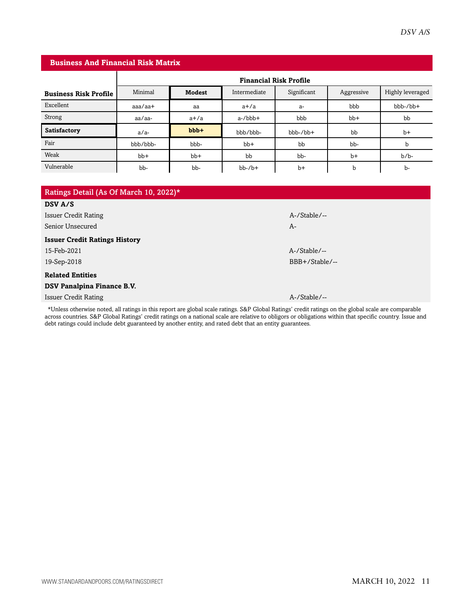| <b>Business And Financial Risk Matrix</b> |                               |               |              |             |             |                  |  |  |  |
|-------------------------------------------|-------------------------------|---------------|--------------|-------------|-------------|------------------|--|--|--|
|                                           | <b>Financial Risk Profile</b> |               |              |             |             |                  |  |  |  |
| <b>Business Risk Profile</b>              | Minimal                       | <b>Modest</b> | Intermediate | Significant | Aggressive  | Highly leveraged |  |  |  |
| Excellent                                 | $a$ aa $/a$ a $+$             | aa            | $a+/a$       | a-          | bbb         | $bbb-/bb+$       |  |  |  |
| Strong                                    | aa/aa-                        | $a+/a$        | $a$ -/ $bbb$ | bbb         | $bb+$       | bb               |  |  |  |
| <b>Satisfactory</b>                       | $a/a-$                        | $bbb +$       | bbb/bbb-     | $bbb-/bb+$  | bb          | $b+$             |  |  |  |
| Fair                                      | bbb/bbb-                      | bbb-          | $bb+$        | bb          | bb-         | b                |  |  |  |
| Weak                                      | $bb+$                         | $bb+$         | bb           | bb-         | $b+$        | $b/b$ -          |  |  |  |
| Vulnerable                                | bb-                           | bb-           | $bb-/b+$     | $b+$        | $\mathbf b$ | b-               |  |  |  |
|                                           |                               |               |              |             |             |                  |  |  |  |

| Ratings Detail (As Of March 10, 2022)*                                                                                                              |                 |
|-----------------------------------------------------------------------------------------------------------------------------------------------------|-----------------|
| DSV A/S                                                                                                                                             |                 |
| Issuer Credit Rating                                                                                                                                | A-/Stable/--    |
| Senior Unsecured                                                                                                                                    | A-              |
| <b>Issuer Credit Ratings History</b>                                                                                                                |                 |
| 15-Feb-2021                                                                                                                                         | $A$ -/Stable/-- |
| 19-Sep-2018                                                                                                                                         | BBB+/Stable/--  |
| <b>Related Entities</b>                                                                                                                             |                 |
| DSV Panalpina Finance B.V.                                                                                                                          |                 |
| Issuer Credit Rating                                                                                                                                | A-/Stable/--    |
| *Unless otherwise noted, all ratings in this report are global scale ratings. S&P Global Ratings' credit ratings on the global scale are comparable |                 |

across countries. S&P Global Ratings' credit ratings on a national scale are relative to obligors or obligations within that specific country. Issue and debt ratings could include debt guaranteed by another entity, and rated debt that an entity guarantees.